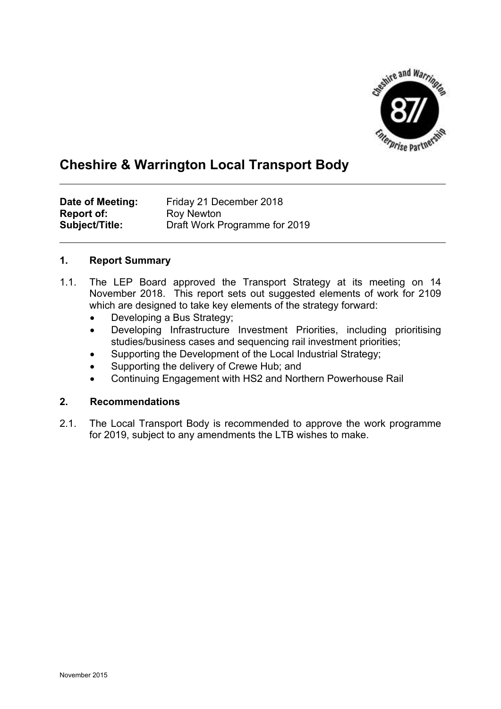

# **Cheshire & Warrington Local Transport Body**

| Date of Meeting:  | Friday 21 December 2018       |
|-------------------|-------------------------------|
| <b>Report of:</b> | Roy Newton                    |
| Subject/Title:    | Draft Work Programme for 2019 |

## **1. Report Summary**

- 1.1. The LEP Board approved the Transport Strategy at its meeting on 14 November 2018. This report sets out suggested elements of work for 2109 which are designed to take key elements of the strategy forward:
	- Developing a Bus Strategy;
	- Developing Infrastructure Investment Priorities, including prioritising studies/business cases and sequencing rail investment priorities;
	- Supporting the Development of the Local Industrial Strategy;
	- Supporting the delivery of Crewe Hub; and
	- Continuing Engagement with HS2 and Northern Powerhouse Rail

### **2. Recommendations**

2.1. The Local Transport Body is recommended to approve the work programme for 2019, subject to any amendments the LTB wishes to make.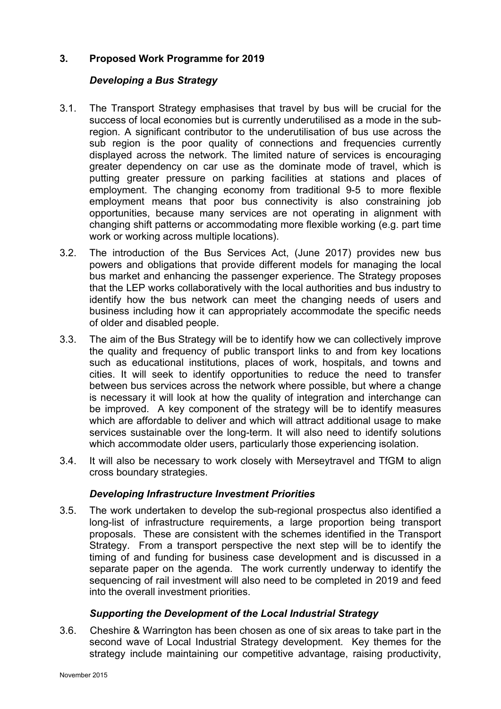## **3. Proposed Work Programme for 2019**

## *Developing a Bus Strategy*

- 3.1. The Transport Strategy emphasises that travel by bus will be crucial for the success of local economies but is currently underutilised as a mode in the subregion. A significant contributor to the underutilisation of bus use across the sub region is the poor quality of connections and frequencies currently displayed across the network. The limited nature of services is encouraging greater dependency on car use as the dominate mode of travel, which is putting greater pressure on parking facilities at stations and places of employment. The changing economy from traditional 9-5 to more flexible employment means that poor bus connectivity is also constraining job opportunities, because many services are not operating in alignment with changing shift patterns or accommodating more flexible working (e.g. part time work or working across multiple locations).
- 3.2. The introduction of the Bus Services Act, (June 2017) provides new bus powers and obligations that provide different models for managing the local bus market and enhancing the passenger experience. The Strategy proposes that the LEP works collaboratively with the local authorities and bus industry to identify how the bus network can meet the changing needs of users and business including how it can appropriately accommodate the specific needs of older and disabled people.
- 3.3. The aim of the Bus Strategy will be to identify how we can collectively improve the quality and frequency of public transport links to and from key locations such as educational institutions, places of work, hospitals, and towns and cities. It will seek to identify opportunities to reduce the need to transfer between bus services across the network where possible, but where a change is necessary it will look at how the quality of integration and interchange can be improved. A key component of the strategy will be to identify measures which are affordable to deliver and which will attract additional usage to make services sustainable over the long-term. It will also need to identify solutions which accommodate older users, particularly those experiencing isolation.
- 3.4. It will also be necessary to work closely with Merseytravel and TfGM to align cross boundary strategies.

#### *Developing Infrastructure Investment Priorities*

3.5. The work undertaken to develop the sub-regional prospectus also identified a long-list of infrastructure requirements, a large proportion being transport proposals. These are consistent with the schemes identified in the Transport Strategy. From a transport perspective the next step will be to identify the timing of and funding for business case development and is discussed in a separate paper on the agenda. The work currently underway to identify the sequencing of rail investment will also need to be completed in 2019 and feed into the overall investment priorities.

#### *Supporting the Development of the Local Industrial Strategy*

3.6. Cheshire & Warrington has been chosen as one of six areas to take part in the second wave of Local Industrial Strategy development. Key themes for the strategy include maintaining our competitive advantage, raising productivity,